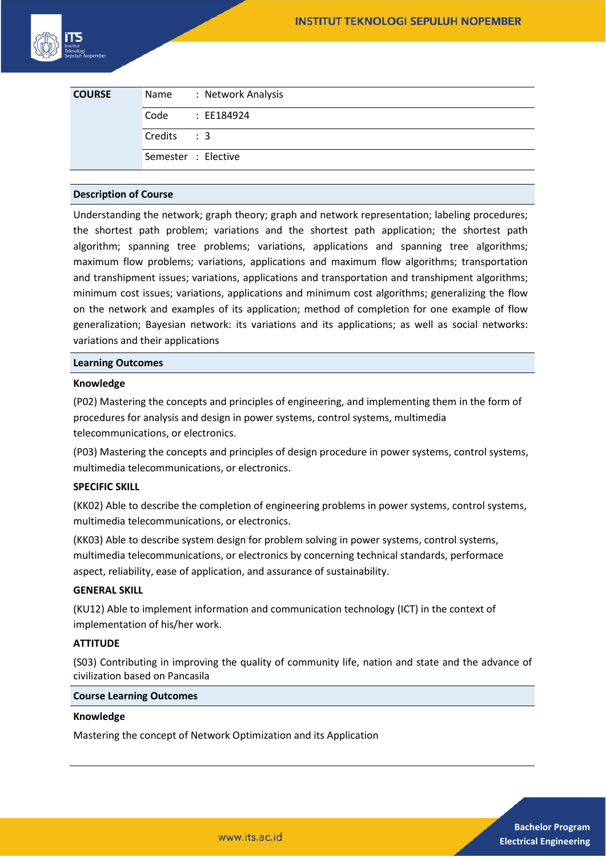

| <b>COURSE</b> | Name                | : Network Analysis |
|---------------|---------------------|--------------------|
|               |                     | Code : EE184924    |
|               | Credits : 3         |                    |
|               | Semester : Elective |                    |

## **Description of Course**

Understanding the network; graph theory; graph and network representation; labeling procedures; the shortest path problem; variations and the shortest path application; the shortest path algorithm; spanning tree problems; variations, applications and spanning tree algorithms; maximum flow problems; variations, applications and maximum flow algorithms; transportation and transhipment issues; variations, applications and transportation and transhipment algorithms; minimum cost issues; variations, applications and minimum cost algorithms; generalizing the flow on the network and examples of its application; method of completion for one example of flow generalization; Bayesian network: its variations and its applications; as well as social networks: variations and their applications

## **Learning Outcomes**

#### **Knowledge**

(P02) Mastering the concepts and principles of engineering, and implementing them in the form of procedures for analysis and design in power systems, control systems, multimedia telecommunications, or electronics.

(P03) Mastering the concepts and principles of design procedure in power systems, control systems, multimedia telecommunications, or electronics.

# **SPECIFIC SKILL**

(KK02) Able to describe the completion of engineering problems in power systems, control systems, multimedia telecommunications, or electronics.

(KK03) Able to describe system design for problem solving in power systems, control systems, multimedia telecommunications, or electronics by concerning technical standards, performace aspect, reliability, ease of application, and assurance of sustainability.

#### **GENERAL SKILL**

(KU12) Able to implement information and communication technology (ICT) in the context of implementation of his/her work.

# **ATTITUDE**

(S03) Contributing in improving the quality of community life, nation and state and the advance of civilization based on Pancasila

#### **Course Learning Outcomes**

#### **Knowledge**

Mastering the concept of Network Optimization and its Application